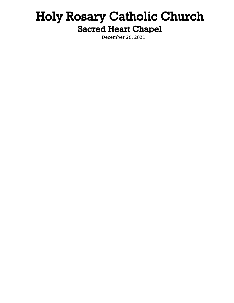# Holy Rosary Catholic Church **Sacred Heart Chapel**

December 26, 2021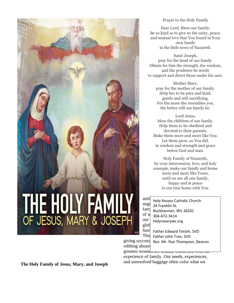

# Prayer to the Holy Family

Dear Lord, Bless our family. Be so kind as to give us the unity, peace, and mutual love that You found in Your own family in the little town of Nazareth.

Saint Joseph, pray for the head of our family. Obtain for him the strength, the wisdom, and the prudence he needs to support and direct those under his care.

> Mother Mary, pray for the mother of our family. Help her to be pure and kind, gentle and self-sacrificing. For the more she resembles you, the better will our family be.

Lord Jesus, bless the children of our family. Help them to be obedient and devoted to their parents. Make them more and more like You. Let them grow, as You did, in wisdom and strength and grace before God and man.

Holy Family of Nazareth, by your intercession, love, and holy example, make our family and home more and more like Yours, until we are all one family, happy and at peace in our true home with You.

ami Holy Rosary Catholic Church  $\begin{array}{c} \n\text{neg} \\
\text{34 Franklin St.}\n\end{array}$  $\begin{bmatrix} \text{fam} \\ \text{Buckhannon}, \text{WV } \text{26201} \end{bmatrix}$ of  $\frac{1}{304-472-3414}$  $\text{our}$  Holyrosarywv.org

 $\text{hum}$  Father Edward Tetteh, SVD  $\text{Tho}$  Father John Tran, SVD giving success Rev. Mr. Rue Thompson, Deacon robbing abuses

greatest wounds are usually connected w experience of family. Our needs, experiences, and unresolved baggage often color what we

**The Holy Family of Jesus, Mary, and Joseph**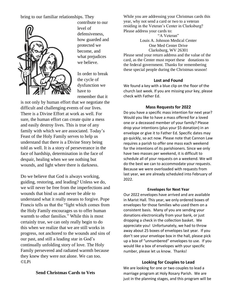bring to our familiar relationships. They



contribute to our level of defensiveness, how guarded and protected we become, and what prejudices we believe.

In order to break the cycle of dysfunction we have to remember that it

is not only by human effort that we negotiate the difficult and challenging events of our lives. There is a Divine Effort at work as well. For sure, the human effort can create quite a mess and easily destroy lives. This is true of any family with which we are associated. Today's Feast of the Holy Family serves to help us understand that there is a Divine Story being told as well. It is a story of perseverance in the face of hardship, determination in the face of despair, healing when we see nothing but wounds, and light where there is darkness.

Do we believe that God is always working, guiding, restoring, and leading? Unless we do, we will never be free from the imperfections and wounds that bind us and never be able to understand what it really means to forgive. Pope Francis tells us that the "light which comes from the Holy Family encourages us to offer human warmth to other families." While this is most certainly true, we can only really begin to do this when we realize that we are still works in progress, not anchored to the wounds and sins of our past, and still a leading star in God's continually unfolding story of love. The Holy Family persevered and radiated warmth because they knew they were not alone. We can too. ©LPi

While you are addressing your Christmas cards this year, why not send a card or two to a veteran residing in the Veteran's Center in Clarksburg? Please address your cards to: "A Veteran"

Louis A. Johnson Medical Center One Med Center Drive Clarksburg, WV 26301

Please send your return address and the value of the card, as the Center must report these donations to the federal government. Thanks for remembering these special people during the Christmas season!

# **Lost and Found**

We found a key with a blue clip on the floor of the church last week. If you are missing your key, please check with Father Ed.

## **Mass Requests for 2022**

Do you have a specific mass intention for next year? Would you like to have a mass offered for a loved one or a deceased member of your family? Please drop your intentions (plus your \$5 donation) in an envelope or give it to Father Ed. Specific dates may go quickly, so act now. Please note that Cannon Law requires a parish to offer one mass each weekend for the intentions of its parishioners. Since we only have two masses per weekend, it is difficult to schedule all of your requests on a weekend. We will do the best we can to accommodate your requests. Because we were overloaded with requests from last year, we are already scheduled into February of 2022.

#### **Envelopes for Next Year**

Our 2022 envelopes have arrived and are available in Marist Hall. This year, we only ordered boxes of envelopes for those families who used them on a consistent basis. Many of you are sending your donations electronically from your bank, or just dropping a check in the collection basket. We appreciate you! Unfortunately, we had to throw away about 25 boxes of envelopes last year. If you don't see your envelope box in the hall, please pick up a box of "unnumbered" envelopes to use. If you would like a box of envelopes with your specific number, please let us know. Thanks!

# **Looking for Couples to Lead**

We are looking for one or two couples to lead a marriage program at Holy Rosary Parish. We are just in the planning stages, and this program will be

# **Send Christmas Cards to Vets**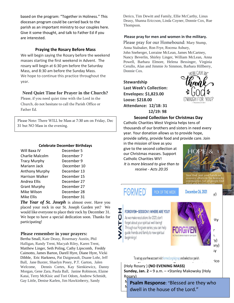based on the program: "Together in Holiness." This diocesan program could be carried back to the parish as an important ministry to our couples here. Give it some thought, and talk to Father Ed if you are interested.

#### **Praying the Rosary Before Mass**

We will begin saying the Rosary before the weekend masses starting the first weekend in Advent. The rosary will begin at 6:30 pm before the Saturday Mass, and 8:30 am before the Sunday Mass. We hope to continue this practice throughout the year.

### **Need Quiet Time for Prayer in the Church?**

Please, if you need quiet time with the Lord in the Church, do not hesitate to call the Parish Office or Father Ed.

Please Note: There WILL be Mass at 7:30 am on Friday, Dec 31 but NO Mass in the evening.

#### **Celebrate December Birthdays**

| Will Baxa IV           | December 5  |
|------------------------|-------------|
| Charlie Malcolm        | December 7  |
| <b>Tracy Murphy</b>    | December 9  |
| Mariann Jack           | December 10 |
| Anthony Murphy         | December 13 |
| <b>Harrison Walker</b> | December 15 |
| Andrea Ellis           | December 27 |
| <b>Grant Murphy</b>    | December 27 |
| Mike Wilson            | December 28 |
| Mike Ellis             | December 31 |
|                        |             |

*The Year of St. Joseph* is almost over. Have you placed your rock in our St. Joseph Garden yet? We would like everyone to place their rock by December 31. We hope to have a special dedication soon. Thanks for participating!

#### **Please remember in your prayers:**

Bertha Small, Kate Deasy, Rosemary Austin, Phil Halligan, Randy Trent, Macyah Riley, Karen Trent, Matthew Linger, Seth Poling, Cathy Lipscomb, Freddy Caimotto, James Barton, Darell Hyre, Diane Hyre, Vicki Dibble, Eric Harkness, Pat Daigneault, Duane Lohr, Jeff Ball, Jane Baxter, Shaelyn Posey, P.T. Garton, Jalen Welcome, Dennis Cortes, Kay Sienkiewicz, Danny Morgan, Gene Zara, Paula Ball, Janine Robinson, Elaine Katai, Terry McKisic and Tori Odom, Andrew Schmidt, Gay Little, Denise Karlen, Jim Hawkinberry, Sandy

Derico, Tim Dewitt and Family, Ellie McCarthy, Linus Deasy, Shanna Ericcson, Linda Coyner, Donnie Cox, Rue Thompson.

#### **Please pray for men and women in the military.**

Please pray for our Homebound: Mary Stump, Anna Stalnaker, Ron Frye, Rocena Asbury,

John Sneberger, Lorraine McLean, James McCartney, Nancy Beverlin, Shirley Linger, William McLean, Anna Powell, Barbara Elmore, Helena Bessinger, Virginia Cerullo, Alan and Jimmie Jo Simmon, Barbara Hillberry, Donnie Cox.

**Stewardship Last Week's Collection: Envelopes: \$1,823.00 Loose: \$218.00 Attendance: 12/18: 31 12/19: 98**



#### **Second Collection for Christmas Day**

Catholic Charities West Virginia helps tens of thousands of our brothers and sisters in need every year. Your donation allows us to provide hope, provide safety, provide food and provide care. Join

**PICK OF THE WEEK December 26, 2021** 

**FORMED** PICK OF THE WEEK **December 26, 2021** 

in the mission of love as you give to the second collection at our Christmas masses. Support Catholic Charities WV! *It is more blessed to give than to receive - Acts 20:35*



# FORGIVEN-SESSION 1: WHERE ARE YOU?

I



To est up your free assount visit form

**Saturday, Jan. 100 a.m. Rodger Lundell, American Derico Derico Derico Derico Derico Derico Derico Derico Derico** (Holy Rosary ) **(NO EVENING MASS) Sunday, Jan. 2 –** 9 a.m. – +Stanley Makowsky (Holy Rosary)

**Psalm Response**: "Blessed are they who  $\frac{N}{4}$  dwell in the house of the Lord."